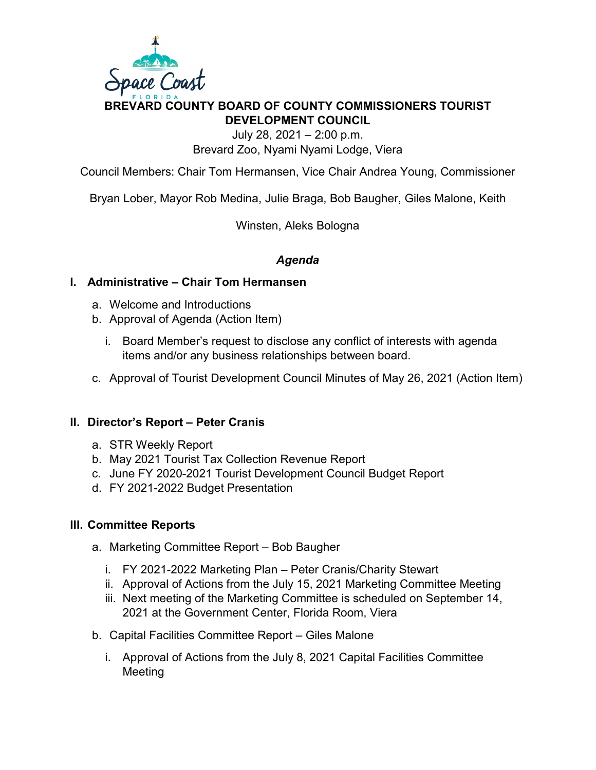

# **BREVARD COUNTY BOARD OF COUNTY COMMISSIONERS TOURIST DEVELOPMENT COUNCIL**

July 28, 2021 – 2:00 p.m. Brevard Zoo, Nyami Nyami Lodge, Viera

Council Members: Chair Tom Hermansen, Vice Chair Andrea Young, Commissioner

Bryan Lober, Mayor Rob Medina, Julie Braga, Bob Baugher, Giles Malone, Keith

Winsten, Aleks Bologna

### *Agenda*

### **I. Administrative – Chair Tom Hermansen**

- a. Welcome and Introductions
- b. Approval of Agenda (Action Item)
	- i. Board Member's request to disclose any conflict of interests with agenda items and/or any business relationships between board.
- c. Approval of Tourist Development Council Minutes of May 26, 2021 (Action Item)

### **II. Director's Report – Peter Cranis**

- a. STR Weekly Report
- b. May 2021 Tourist Tax Collection Revenue Report
- c. June FY 2020-2021 Tourist Development Council Budget Report
- d. FY 2021-2022 Budget Presentation

#### **III. Committee Reports**

- a. Marketing Committee Report Bob Baugher
	- i. FY 2021-2022 Marketing Plan Peter Cranis/Charity Stewart
	- ii. Approval of Actions from the July 15, 2021 Marketing Committee Meeting
	- iii. Next meeting of the Marketing Committee is scheduled on September 14, 2021 at the Government Center, Florida Room, Viera
- b. Capital Facilities Committee Report Giles Malone
	- i. Approval of Actions from the July 8, 2021 Capital Facilities Committee Meeting